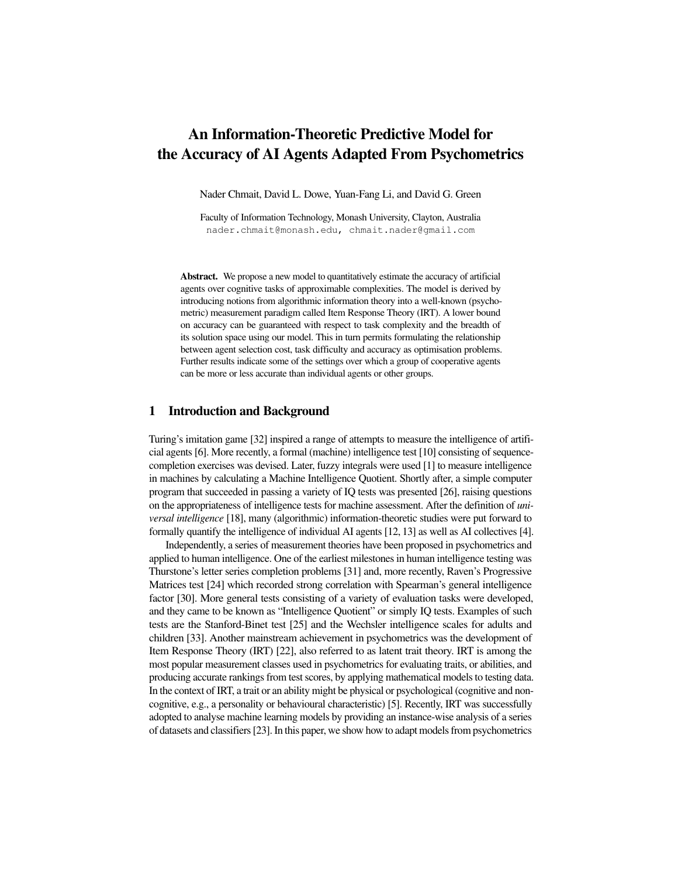# An Information-Theoretic Predictive Model for the Accuracy of AI Agents Adapted From Psychometrics

Nader Chmait, David L. Dowe, Yuan-Fang Li, and David G. Green

Faculty of Information Technology, Monash University, Clayton, Australia nader.chmait@monash.edu, chmait.nader@gmail.com

Abstract. We propose a new model to quantitatively estimate the accuracy of artificial agents over cognitive tasks of approximable complexities. The model is derived by introducing notions from algorithmic information theory into a well-known (psychometric) measurement paradigm called Item Response Theory (IRT). A lower bound on accuracy can be guaranteed with respect to task complexity and the breadth of its solution space using our model. This in turn permits formulating the relationship between agent selection cost, task difficulty and accuracy as optimisation problems. Further results indicate some of the settings over which a group of cooperative agents can be more or less accurate than individual agents or other groups.

#### 1 Introduction and Background

Turing's imitation game [32] inspired a range of attempts to measure the intelligence of artificial agents [6]. More recently, a formal (machine) intelligence test [10] consisting of sequencecompletion exercises was devised. Later, fuzzy integrals were used [1] to measure intelligence in machines by calculating a Machine Intelligence Quotient. Shortly after, a simple computer program that succeeded in passing a variety of IQ tests was presented [26], raising questions on the appropriateness of intelligence tests for machine assessment. After the definition of *universal intelligence* [18], many (algorithmic) information-theoretic studies were put forward to formally quantify the intelligence of individual AI agents [12, 13] as well as AI collectives [4].

Independently, a series of measurement theories have been proposed in psychometrics and applied to human intelligence. One of the earliest milestones in human intelligence testing was Thurstone's letter series completion problems [31] and, more recently, Raven's Progressive Matrices test [24] which recorded strong correlation with Spearman's general intelligence factor [30]. More general tests consisting of a variety of evaluation tasks were developed, and they came to be known as "Intelligence Quotient" or simply IQ tests. Examples of such tests are the Stanford-Binet test [25] and the Wechsler intelligence scales for adults and children [33]. Another mainstream achievement in psychometrics was the development of Item Response Theory (IRT) [22], also referred to as latent trait theory. IRT is among the most popular measurement classes used in psychometrics for evaluating traits, or abilities, and producing accurate rankings from test scores, by applying mathematical models to testing data. In the context of IRT, a trait or an ability might be physical or psychological (cognitive and noncognitive, e.g., a personality or behavioural characteristic) [5]. Recently, IRT was successfully adopted to analyse machine learning models by providing an instance-wise analysis of a series of datasets and classifiers [23]. In this paper, we show how to adapt models from psychometrics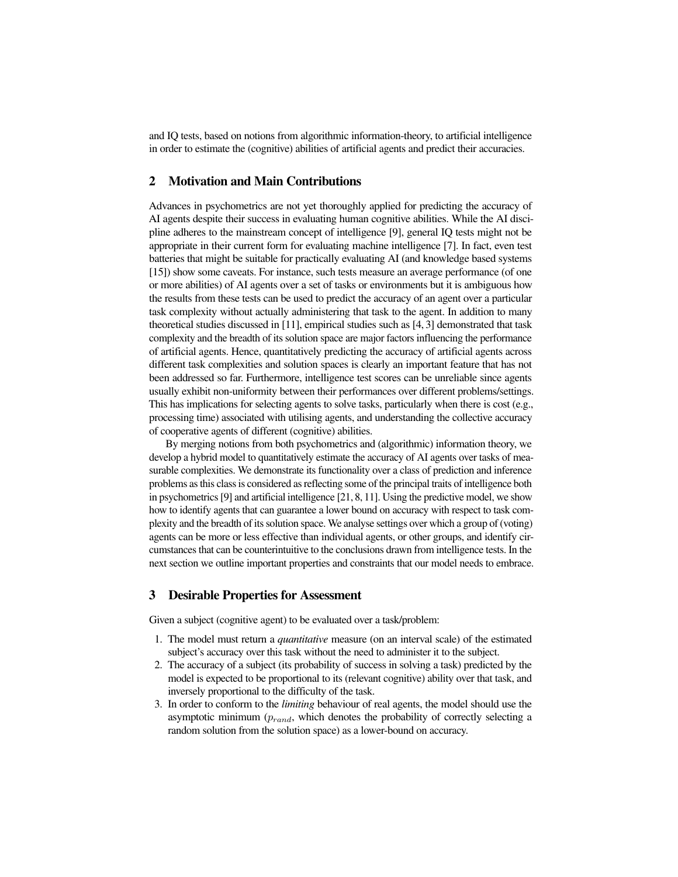and IQ tests, based on notions from algorithmic information-theory, to artificial intelligence in order to estimate the (cognitive) abilities of artificial agents and predict their accuracies.

## 2 Motivation and Main Contributions

Advances in psychometrics are not yet thoroughly applied for predicting the accuracy of AI agents despite their success in evaluating human cognitive abilities. While the AI discipline adheres to the mainstream concept of intelligence [9], general IQ tests might not be appropriate in their current form for evaluating machine intelligence [7]. In fact, even test batteries that might be suitable for practically evaluating AI (and knowledge based systems [15]) show some caveats. For instance, such tests measure an average performance (of one or more abilities) of AI agents over a set of tasks or environments but it is ambiguous how the results from these tests can be used to predict the accuracy of an agent over a particular task complexity without actually administering that task to the agent. In addition to many theoretical studies discussed in [11], empirical studies such as [4, 3] demonstrated that task complexity and the breadth of its solution space are major factors influencing the performance of artificial agents. Hence, quantitatively predicting the accuracy of artificial agents across different task complexities and solution spaces is clearly an important feature that has not been addressed so far. Furthermore, intelligence test scores can be unreliable since agents usually exhibit non-uniformity between their performances over different problems/settings. This has implications for selecting agents to solve tasks, particularly when there is cost (e.g., processing time) associated with utilising agents, and understanding the collective accuracy of cooperative agents of different (cognitive) abilities.

By merging notions from both psychometrics and (algorithmic) information theory, we develop a hybrid model to quantitatively estimate the accuracy of AI agents over tasks of measurable complexities. We demonstrate its functionality over a class of prediction and inference problems as this class is considered as reflecting some of the principal traits of intelligence both in psychometrics  $[9]$  and artificial intelligence  $[21, 8, 11]$ . Using the predictive model, we show how to identify agents that can guarantee a lower bound on accuracy with respect to task complexity and the breadth of its solution space. We analyse settings over which a group of (voting) agents can be more or less effective than individual agents, or other groups, and identify circumstances that can be counterintuitive to the conclusions drawn from intelligence tests. In the next section we outline important properties and constraints that our model needs to embrace.

#### 3 Desirable Properties for Assessment

Given a subject (cognitive agent) to be evaluated over a task/problem:

- 1. The model must return a *quantitative* measure (on an interval scale) of the estimated subject's accuracy over this task without the need to administer it to the subject.
- 2. The accuracy of a subject (its probability of success in solving a task) predicted by the model is expected to be proportional to its (relevant cognitive) ability over that task, and inversely proportional to the difficulty of the task.
- 3. In order to conform to the *limiting* behaviour of real agents, the model should use the asymptotic minimum  $(p_{rand}$ , which denotes the probability of correctly selecting a random solution from the solution space) as a lower-bound on accuracy.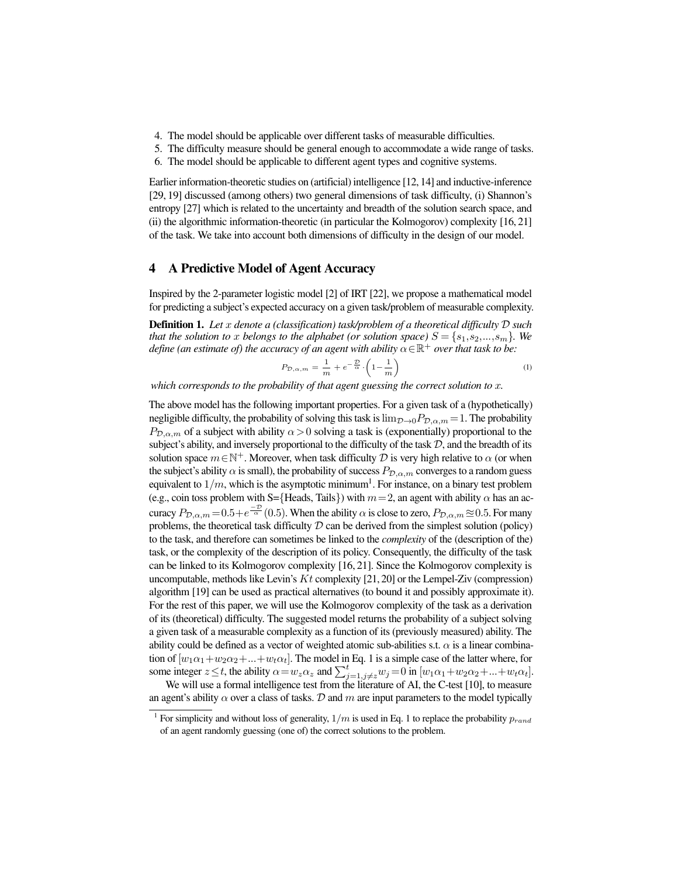- 4. The model should be applicable over different tasks of measurable difficulties.
- 5. The difficulty measure should be general enough to accommodate a wide range of tasks.
- 6. The model should be applicable to different agent types and cognitive systems.

Earlier information-theoretic studies on (artificial) intelligence [12, 14] and inductive-inference [29, 19] discussed (among others) two general dimensions of task difficulty, (i) Shannon's entropy [27] which is related to the uncertainty and breadth of the solution search space, and (ii) the algorithmic information-theoretic (in particular the Kolmogorov) complexity [16, 21] of the task. We take into account both dimensions of difficulty in the design of our model.

#### 4 A Predictive Model of Agent Accuracy

Inspired by the 2-parameter logistic model [2] of IRT [22], we propose a mathematical model for predicting a subject's expected accuracy on a given task/problem of measurable complexity.

Definition 1. *Let* x *denote a (classification) task/problem of a theoretical difficulty* D *such that the solution to* x *belongs to the alphabet (or solution space)*  $S = \{s_1, s_2, ..., s_m\}$ *. We* define (an estimate of) the accuracy of an agent with ability  $\alpha \in \mathbb{R}^+$  over that task to be:

$$
P_{\mathcal{D},\alpha,m} = \frac{1}{m} + e^{-\frac{D}{\alpha}} \cdot \left(1 - \frac{1}{m}\right)
$$
 (1)

*which corresponds to the probability of that agent guessing the correct solution to* x*.*

The above model has the following important properties. For a given task of a (hypothetically) negligible difficulty, the probability of solving this task is  $\lim_{D\to 0}P_{D,\alpha,m}=1$ . The probability  $P_{\mathcal{D},\alpha,m}$  of a subject with ability  $\alpha>0$  solving a task is (exponentially) proportional to the subject's ability, and inversely proportional to the difficulty of the task  $D$ , and the breadth of its solution space  $m \in \mathbb{N}^+$ . Moreover, when task difficulty  $\tilde{\mathcal{D}}$  is very high relative to  $\alpha$  (or when the subject's ability  $\alpha$  is small), the probability of success  $P_{\mathcal{D},\alpha,m}$  converges to a random guess equivalent to  $1/m$ , which is the asymptotic minimum<sup>1</sup>. For instance, on a binary test problem (e.g., coin toss problem with S={Heads, Tails}) with  $m=2$ , an agent with ability  $\alpha$  has an accuracy  $P_{\mathcal{D},\alpha,m}$  = 0.5 +  $e^{\frac{-\mathcal{D}}{\alpha}}(0.5)$ . When the ability  $\alpha$  is close to zero,  $P_{\mathcal{D},\alpha,m}$   $\approx$  0.5. For many problems, the theoretical task difficulty  $D$  can be derived from the simplest solution (policy) to the task, and therefore can sometimes be linked to the *complexity* of the (description of the) task, or the complexity of the description of its policy. Consequently, the difficulty of the task can be linked to its Kolmogorov complexity [16, 21]. Since the Kolmogorov complexity is uncomputable, methods like Levin's  $Kt$  complexity [21, 20] or the Lempel-Ziv (compression) algorithm [19] can be used as practical alternatives (to bound it and possibly approximate it). For the rest of this paper, we will use the Kolmogorov complexity of the task as a derivation of its (theoretical) difficulty. The suggested model returns the probability of a subject solving a given task of a measurable complexity as a function of its (previously measured) ability. The ability could be defined as a vector of weighted atomic sub-abilities s.t.  $\alpha$  is a linear combination of  $[w_1\alpha_1+w_2\alpha_2+...+w_t\alpha_t]$ . The model in Eq. 1 is a simple case of the latter where, for some integer  $z \le t$ , the ability  $\alpha = w_z \alpha_z$  and  $\sum_{j=1, j\neq z}^{t} w_j = 0$  in  $[w_1\alpha_1 + w_2\alpha_2 + ... + w_t\alpha_t]$ .

We will use a formal intelligence test from the literature of AI, the C-test [10], to measure an agent's ability  $\alpha$  over a class of tasks. D and m are input parameters to the model typically

<sup>&</sup>lt;sup>1</sup> For simplicity and without loss of generality,  $1/m$  is used in Eq. 1 to replace the probability  $p_{rand}$ of an agent randomly guessing (one of) the correct solutions to the problem.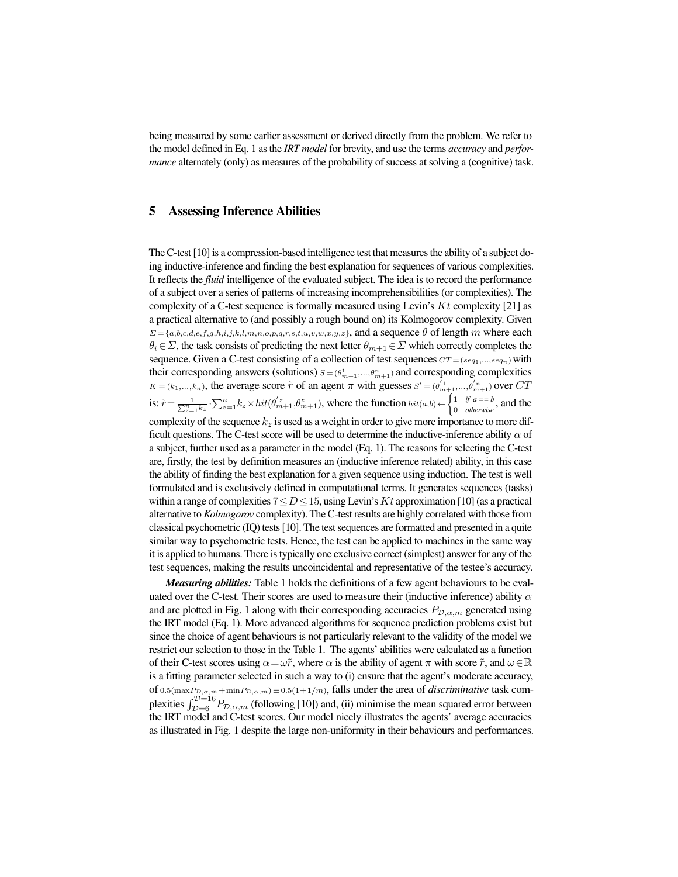being measured by some earlier assessment or derived directly from the problem. We refer to the model defined in Eq. 1 as the *IRT model* for brevity, and use the terms *accuracy* and *performance* alternately (only) as measures of the probability of success at solving a (cognitive) task.

## 5 Assessing Inference Abilities

The C-test [10] is a compression-based intelligence test that measures the ability of a subject doing inductive-inference and finding the best explanation for sequences of various complexities. It reflects the *fluid* intelligence of the evaluated subject. The idea is to record the performance of a subject over a series of patterns of increasing incomprehensibilities (or complexities). The complexity of a C-test sequence is formally measured using Levin's  $Kt$  complexity [21] as a practical alternative to (and possibly a rough bound on) its Kolmogorov complexity. Given  $\Sigma = \{a,b,c,d,e,f,g,h,i,j,k,l,m,n,o,p,q,r,s,t,u,v,w,x,y,z\}$ , and a sequence  $\theta$  of length m where each  $\theta_i \in \Sigma$ , the task consists of predicting the next letter  $\theta_{m+1} \in \Sigma$  which correctly completes the sequence. Given a C-test consisting of a collection of test sequences  $CT = (seq_1, ..., seq_n)$  with their corresponding answers (solutions)  $S = (\theta_{m+1}^1, ..., \theta_{m+1}^n)$  and corresponding complexities  $K = (k_1, ..., k_n)$ , the average score  $\tilde{r}$  of an agent  $\pi$  with guesses  $S' = (\theta_{m+1}'', ..., \theta_{m+1}'')$  over  $CT$ is:  $\tilde{r} = \frac{1}{\sum_{z=1}^{n} k_z} \cdot \sum_{z=1}^{n} k_z \times hit(\theta_{m+1}^{'z}, \theta_{m+1}^{z}),$  where the function  $hit(a, b) \leftarrow \begin{cases} 1 & \text{if } a = b \\ 0 & \text{otherwise} \end{cases}$  $\int_{0}^{\pi} \frac{d\theta}{dt} dt = b$ , and the complexity of the sequence  $k_z$  is used as a weight in order to give more importance to more difficult questions. The C-test score will be used to determine the inductive-inference ability  $\alpha$  of a subject, further used as a parameter in the model (Eq. 1). The reasons for selecting the C-test are, firstly, the test by definition measures an (inductive inference related) ability, in this case the ability of finding the best explanation for a given sequence using induction. The test is well formulated and is exclusively defined in computational terms. It generates sequences (tasks) within a range of complexities  $7 \le D \le 15$ , using Levin's Kt approximation [10] (as a practical alternative to *Kolmogorov* complexity). The C-test results are highly correlated with those from classical psychometric (IQ) tests [10]. The test sequences are formatted and presented in a quite similar way to psychometric tests. Hence, the test can be applied to machines in the same way it is applied to humans. There is typically one exclusive correct (simplest) answer for any of the test sequences, making the results uncoincidental and representative of the testee's accuracy.

*Measuring abilities:* Table 1 holds the definitions of a few agent behaviours to be evaluated over the C-test. Their scores are used to measure their (inductive inference) ability  $\alpha$ and are plotted in Fig. 1 along with their corresponding accuracies  $P_{\mathcal{D},\alpha,m}$  generated using the IRT model (Eq. 1). More advanced algorithms for sequence prediction problems exist but since the choice of agent behaviours is not particularly relevant to the validity of the model we restrict our selection to those in the Table 1. The agents' abilities were calculated as a function of their C-test scores using  $\alpha = \omega \tilde{r}$ , where  $\alpha$  is the ability of agent  $\pi$  with score  $\tilde{r}$ , and  $\omega \in \mathbb{R}$ is a fitting parameter selected in such a way to (i) ensure that the agent's moderate accuracy, of  $0.5(\max P_{\mathcal{D},\alpha,m} + \min P_{\mathcal{D},\alpha,m}) \equiv 0.5(1+1/m)$ , falls under the area of *discriminative* task complexities  $\int_{\mathcal{D}=6}^{\mathcal{D}=16} P_{\mathcal{D},\alpha,m}$  (following [10]) and, (ii) minimise the mean squared error between the IRT model and C-test scores. Our model nicely illustrates the agents' average accuracies as illustrated in Fig. 1 despite the large non-uniformity in their behaviours and performances.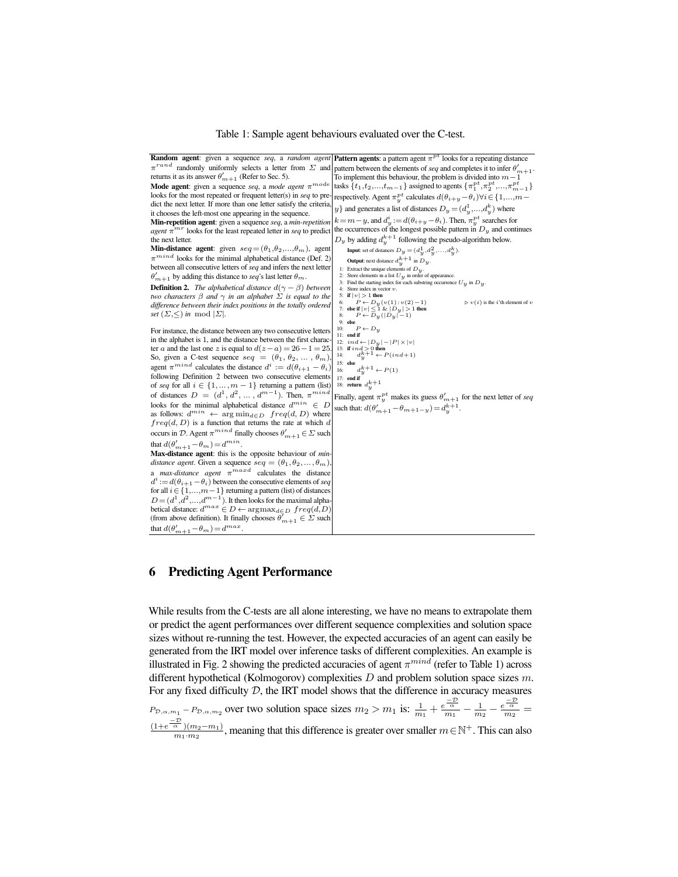Table 1: Sample agent behaviours evaluated over the C-test.



#### 6 Predicting Agent Performance

While results from the C-tests are all alone interesting, we have no means to extrapolate them or predict the agent performances over different sequence complexities and solution space sizes without re-running the test. However, the expected accuracies of an agent can easily be generated from the IRT model over inference tasks of different complexities. An example is illustrated in Fig. 2 showing the predicted accuracies of agent  $\pi^{mind}$  (refer to Table 1) across different hypothetical (Kolmogorov) complexities  $D$  and problem solution space sizes  $m$ . For any fixed difficulty  $D$ , the IRT model shows that the difference in accuracy measures  $P_{\mathcal{D},\alpha,m_1} - P_{\mathcal{D},\alpha,m_2}$  over two solution space sizes  $m_2 > m_1$  is:  $\frac{1}{m_1} + \frac{e^{\frac{-\mathcal{D}}{\alpha}}}{m_1} - \frac{1}{m_2} - \frac{e^{\frac{-\mathcal{D}}{\alpha}}}{m_2} =$  $(1 + e^{\frac{-\mathcal{D}}{\alpha}})(m_2 - m_1)$  $\frac{\sqrt{n_1}}{m_1 \cdot m_2}$ , meaning that this difference is greater over smaller  $m \in \mathbb{N}^+$ . This can also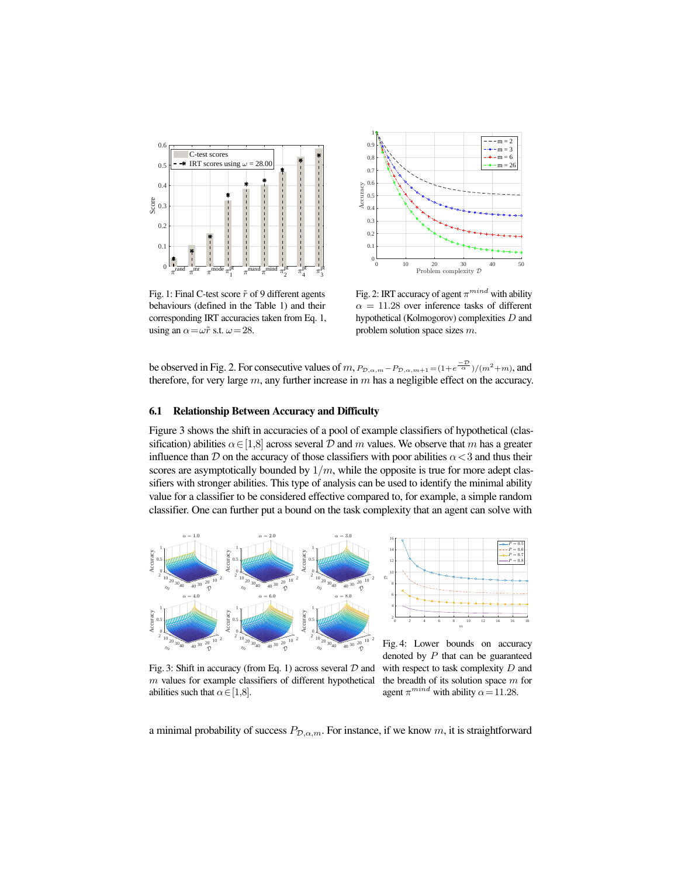

Fig. 1: Final C-test score  $\tilde{r}$  of 9 different agents behaviours (defined in the Table 1) and their corresponding IRT accuracies taken from Eq. 1, using an  $\alpha = \omega \tilde{r}$  s.t.  $\omega = 28$ .



Fig. 2: IRT accuracy of agent  $\pi^{mind}$  with ability  $\alpha = 11.28$  over inference tasks of different hypothetical (Kolmogorov) complexities D and problem solution space sizes m.

be observed in Fig. 2. For consecutive values of  $m, P_{\mathcal{D}, \alpha, m} - P_{\mathcal{D}, \alpha, m+1} = (1 + e^{\frac{-\mathcal{D}}{\alpha}})/(m^2 + m)$ , and therefore, for very large  $m$ , any further increase in  $m$  has a negligible effect on the accuracy.

#### 6.1 Relationship Between Accuracy and Difficulty

Figure 3 shows the shift in accuracies of a pool of example classifiers of hypothetical (classification) abilities  $\alpha \in [1,8]$  across several D and m values. We observe that m has a greater influence than  $D$  on the accuracy of those classifiers with poor abilities  $\alpha < 3$  and thus their scores are asymptotically bounded by  $1/m$ , while the opposite is true for more adept classifiers with stronger abilities. This type of analysis can be used to identify the minimal ability value for a classifier to be considered effective compared to, for example, a simple random classifier. One can further put a bound on the task complexity that an agent can solve with



Fig. 3: Shift in accuracy (from Eq. 1) across several  $D$  and  $m$  values for example classifiers of different hypothetical abilities such that  $\alpha \in [1,8]$ .

denoted by  $P$  that can be guaranteed with respect to task complexity  $D$  and the breadth of its solution space  $m$  for agent  $\pi^{mind}$  with ability  $\alpha$  = 11.28.

a minimal probability of success  $P_{\mathcal{D},\alpha,m}$ . For instance, if we know m, it is straightforward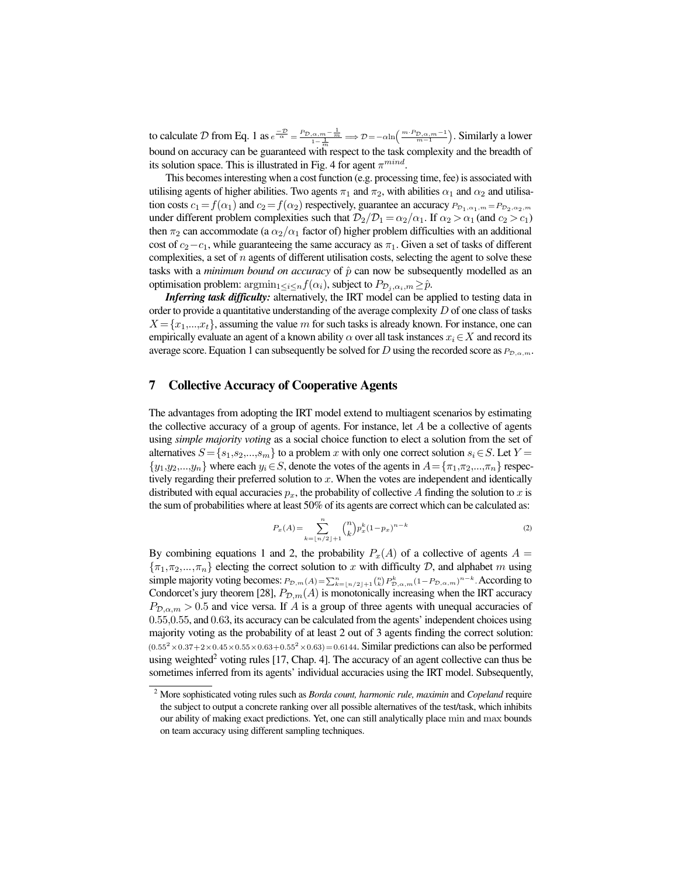to calculate D from Eq. 1 as  $e^{\frac{-\mathcal{D}}{\alpha}} = \frac{P_{\mathcal{D}, \alpha, m} - \frac{1}{m}}{1 - \frac{1}{m}}$  $\frac{1}{1-\frac{1}{m}} \implies \mathcal{D} = -\alpha \ln\left(\frac{m \cdot P_{\mathcal{D},\alpha,m}-1}{m-1}\right)$ . Similarly a lower bound on accuracy can be guaranteed with respect to the task complexity and the breadth of its solution space. This is illustrated in Fig. 4 for agent  $\pi^{mind}$ .

This becomes interesting when a cost function (e.g. processing time, fee) is associated with utilising agents of higher abilities. Two agents  $\pi_1$  and  $\pi_2$ , with abilities  $\alpha_1$  and  $\alpha_2$  and utilisation costs  $c_1=f(\alpha_1)$  and  $c_2=f(\alpha_2)$  respectively, guarantee an accuracy  $P_{\mathcal{D}_1,\alpha_1,m} =P_{\mathcal{D}_2,\alpha_2,m}$ under different problem complexities such that  $\mathcal{D}_2/\mathcal{D}_1 = \alpha_2/\alpha_1$ . If  $\alpha_2 > \alpha_1$  (and  $c_2 > c_1$ ) then  $\pi_2$  can accommodate (a  $\alpha_2/\alpha_1$  factor of) higher problem difficulties with an additional cost of  $c_2-c_1$ , while guaranteeing the same accuracy as  $\pi_1$ . Given a set of tasks of different complexities, a set of  $n$  agents of different utilisation costs, selecting the agent to solve these tasks with a *minimum bound on accuracy* of  $\hat{p}$  can now be subsequently modelled as an optimisation problem:  $\operatorname{argmin}_{1 \leq i \leq n} f(\alpha_i)$ , subject to  $P_{\mathcal{D}_i, \alpha_i, m} \geq \hat{p}$ .

*Inferring task difficulty:* alternatively, the IRT model can be applied to testing data in order to provide a quantitative understanding of the average complexity  $D$  of one class of tasks  $X = \{x_1,...,x_t\}$ , assuming the value m for such tasks is already known. For instance, one can empirically evaluate an agent of a known ability  $\alpha$  over all task instances  $x_i \in X$  and record its average score. Equation 1 can subsequently be solved for D using the recorded score as  $P_{\mathcal{D},\alpha,m}$ .

#### 7 Collective Accuracy of Cooperative Agents

The advantages from adopting the IRT model extend to multiagent scenarios by estimating the collective accuracy of a group of agents. For instance, let  $A$  be a collective of agents using *simple majority voting* as a social choice function to elect a solution from the set of alternatives  $S = \{s_1, s_2, ..., s_m\}$  to a problem x with only one correct solution  $s_i \in S$ . Let  $Y =$  $\{y_1,y_2,...,y_n\}$  where each  $y_i \in S$ , denote the votes of the agents in  $A = \{\pi_1,\pi_2,...,\pi_n\}$  respectively regarding their preferred solution to  $x$ . When the votes are independent and identically distributed with equal accuracies  $p_x$ , the probability of collective A finding the solution to x is the sum of probabilities where at least 50% of its agents are correct which can be calculated as:

$$
P_x(A) = \sum_{k=\lfloor n/2 \rfloor + 1}^{n} {n \choose k} p_x^k (1 - p_x)^{n-k}
$$
 (2)

By combining equations 1 and 2, the probability  $P_x(A)$  of a collective of agents  $A =$  ${\lbrace \pi_1, \pi_2, ..., \pi_n \rbrace}$  electing the correct solution to x with difficulty D, and alphabet m using simple majority voting becomes:  $P_{\mathcal{D},m}(A) = \sum_{k=1}^n a_{k}^{(n)} P_{\mathcal{D},\alpha,m}^k (1 - P_{\mathcal{D},\alpha,m})^{n-k}$ . According to Condorcet's jury theorem [28],  $P_{\mathcal{D},m}(A)$  is monotonically increasing when the IRT accuracy  $P_{\mathcal{D},\alpha,m} > 0.5$  and vice versa. If A is a group of three agents with unequal accuracies of 0.55,0.55, and 0.63, its accuracy can be calculated from the agents' independent choices using majority voting as the probability of at least 2 out of 3 agents finding the correct solution:  $(0.55^2 \times 0.37 + 2 \times 0.45 \times 0.55 \times 0.63 + 0.55^2 \times 0.63) = 0.6144$ . Similar predictions can also be performed using weighted<sup>2</sup> voting rules [17, Chap. 4]. The accuracy of an agent collective can thus be sometimes inferred from its agents' individual accuracies using the IRT model. Subsequently,

<sup>2</sup> More sophisticated voting rules such as *Borda count, harmonic rule, maximin* and *Copeland* require the subject to output a concrete ranking over all possible alternatives of the test/task, which inhibits our ability of making exact predictions. Yet, one can still analytically place min and max bounds on team accuracy using different sampling techniques.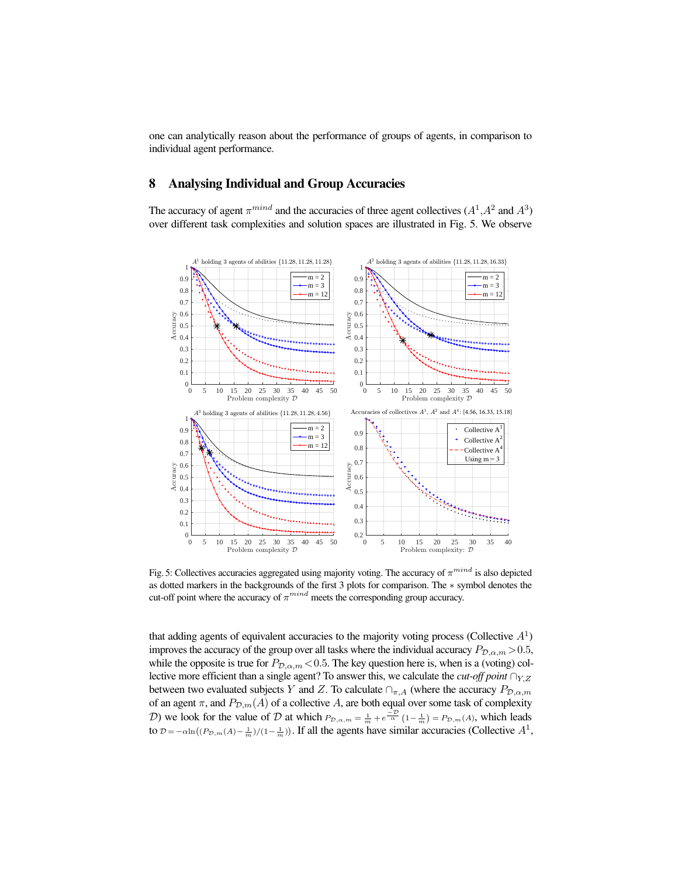one can analytically reason about the performance of groups of agents, in comparison to individual agent performance.

# 8 Analysing Individual and Group Accuracies

The accuracy of agent  $\pi^{mind}$  and the accuracies of three agent collectives  $(A^1, A^2$  and  $A^3)$ over different task complexities and solution spaces are illustrated in Fig. 5. We observe



Fig. 5: Collectives accuracies aggregated using majority voting. The accuracy of  $\pi^{mind}$  is also depicted as dotted markers in the backgrounds of the first 3 plots for comparison. The ∗ symbol denotes the cut-off point where the accuracy of  $\pi^{mind}$  meets the corresponding group accuracy.

that adding agents of equivalent accuracies to the majority voting process (Collective  $A<sup>1</sup>$ ) improves the accuracy of the group over all tasks where the individual accuracy  $P_{\mathcal{D},\alpha,m} > 0.5$ , while the opposite is true for  $P_{\mathcal{D},\alpha,m}$  < 0.5. The key question here is, when is a (voting) collective more efficient than a single agent? To answer this, we calculate the *cut-off point* ∩<sub>Y,Z</sub> between two evaluated subjects Y and Z. To calculate  $\cap_{\pi,A}$  (where the accuracy  $P_{\mathcal{D},\alpha,m}$ of an agent  $\pi$ , and  $P_{\mathcal{D},m}(A)$  of a collective A, are both equal over some task of complexity D) we look for the value of D at which  $P_{\mathcal{D},\alpha,m} = \frac{1}{m} + e^{-\frac{D}{\alpha}} (1 - \frac{1}{m}) = P_{\mathcal{D},m}(A)$ , which leads to  $\mathcal{D} = -\alpha \ln((P_{\mathcal{D},m}(A) - \frac{1}{m})/(1 - \frac{1}{m}))$ . If all the agents have similar accuracies (Collective  $A^1$ ,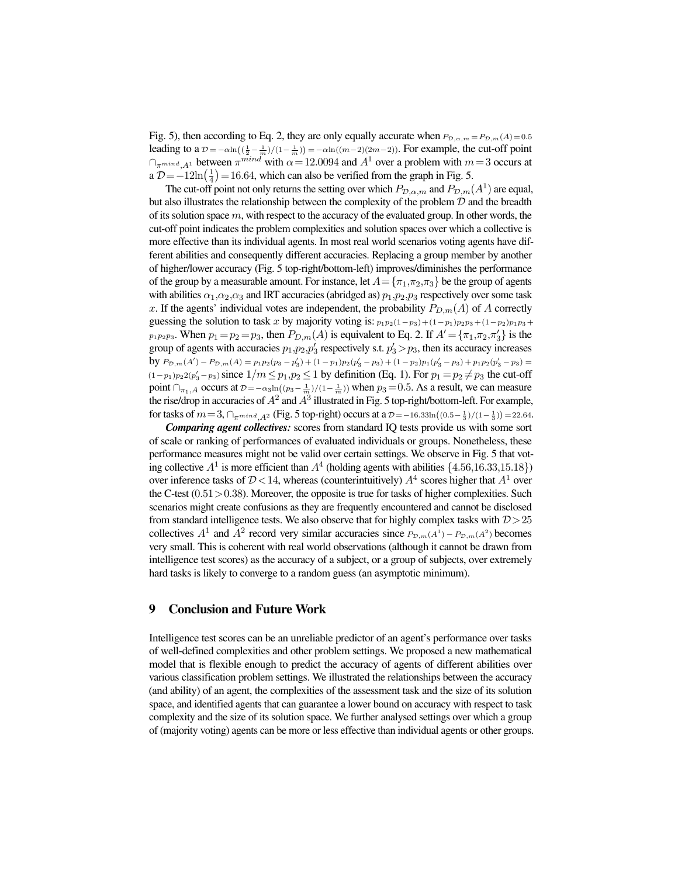Fig. 5), then according to Eq. 2, they are only equally accurate when  $P_{\mathcal{D},\alpha,m} = P_{\mathcal{D},m}(A) = 0.5$ leading to a  $\mathcal{D} = -\alpha \ln\left(\left(\frac{1}{2} - \frac{1}{m}\right)/(1 - \frac{1}{m})\right) = -\alpha \ln\left((m-2)(2m-2)\right)$ . For example, the cut-off point  $\cap_{\pi^{mind}, A^1}$  between  $\pi^{mind}$  with  $\alpha = 12.0094$  and  $A^1$  over a problem with  $m = 3$  occurs at a  $D = -12\ln(\frac{1}{4}) = 16.64$ , which can also be verified from the graph in Fig. 5.

The cut-off point not only returns the setting over which  $P_{\mathcal{D},\alpha,m}$  and  $P_{\mathcal{D},m}(A^1)$  are equal, but also illustrates the relationship between the complexity of the problem  $D$  and the breadth of its solution space  $m$ , with respect to the accuracy of the evaluated group. In other words, the cut-off point indicates the problem complexities and solution spaces over which a collective is more effective than its individual agents. In most real world scenarios voting agents have different abilities and consequently different accuracies. Replacing a group member by another of higher/lower accuracy (Fig. 5 top-right/bottom-left) improves/diminishes the performance of the group by a measurable amount. For instance, let  $A = {\pi_1, \pi_2, \pi_3}$  be the group of agents with abilities  $\alpha_1, \alpha_2, \alpha_3$  and IRT accuracies (abridged as)  $p_1, p_2, p_3$  respectively over some task x. If the agents' individual votes are independent, the probability  $P_{D,m}(A)$  of A correctly guessing the solution to task x by majority voting is:  $p_1p_2(1-p_3)+(1-p_1)p_2p_3+(1-p_2)p_1p_3 +$  $p_1p_2p_3$ . When  $p_1 = p_2 = p_3$ , then  $P_{D,m}(A)$  is equivalent to Eq. 2. If  $A' = \{\pi_1, \pi_2, \pi_3'\}$  is the group of agents with accuracies  $p_1, p_2, p_3$  respectively s.t.  $p_3' > p_3$ , then its accuracy increases by  $P_{\mathcal{D},m}(A') - P_{\mathcal{D},m}(A) = p_1p_2(p_3 - p_3') + (1 - p_1)p_2(p_3' - p_3) + (1 - p_2)p_1(p_3' - p_3) + p_1p_2(p_3' - p_3) =$  $(1-p_1)p_2(2p'_3-p_3)$  since  $1/m \le p_1, p_2 \le 1$  by definition (Eq. 1). For  $p_1 = p_2 \ne p_3$  the cut-off point  $\bigcap_{\pi_1, A}$  occurs at  $\mathcal{D} = -\alpha_3 \ln((p_3 - \frac{1}{m})/(1 - \frac{1}{m}))$  when  $p_3 = 0.5$ . As a result, we can measure the rise/drop in accuracies of  $A^2$  and  $A^3$  illustrated in Fig. 5 top-right/bottom-left. For example, for tasks of  $m=3$ ,  $\bigcap_{\pi^{min}A}$  (Fig. 5 top-right) occurs at a  $\mathcal{D} = -16.33\ln((0.5-\frac{1}{3})/(1-\frac{1}{3})) = 22.64$ .

*Comparing agent collectives:* scores from standard IQ tests provide us with some sort of scale or ranking of performances of evaluated individuals or groups. Nonetheless, these performance measures might not be valid over certain settings. We observe in Fig. 5 that voting collective  $A^1$  is more efficient than  $A^4$  (holding agents with abilities  $\{4.56, 16.33, 15.18\}$ ) over inference tasks of  $D < 14$ , whereas (counterintuitively)  $A<sup>4</sup>$  scores higher that  $A<sup>1</sup>$  over the C-test  $(0.51 > 0.38)$ . Moreover, the opposite is true for tasks of higher complexities. Such scenarios might create confusions as they are frequently encountered and cannot be disclosed from standard intelligence tests. We also observe that for highly complex tasks with  $D > 25$ collectives  $A^1$  and  $A^2$  record very similar accuracies since  $P_{\mathcal{D},m}(A^1) - P_{\mathcal{D},m}(A^2)$  becomes very small. This is coherent with real world observations (although it cannot be drawn from intelligence test scores) as the accuracy of a subject, or a group of subjects, over extremely hard tasks is likely to converge to a random guess (an asymptotic minimum).

## 9 Conclusion and Future Work

Intelligence test scores can be an unreliable predictor of an agent's performance over tasks of well-defined complexities and other problem settings. We proposed a new mathematical model that is flexible enough to predict the accuracy of agents of different abilities over various classification problem settings. We illustrated the relationships between the accuracy (and ability) of an agent, the complexities of the assessment task and the size of its solution space, and identified agents that can guarantee a lower bound on accuracy with respect to task complexity and the size of its solution space. We further analysed settings over which a group of (majority voting) agents can be more or less effective than individual agents or other groups.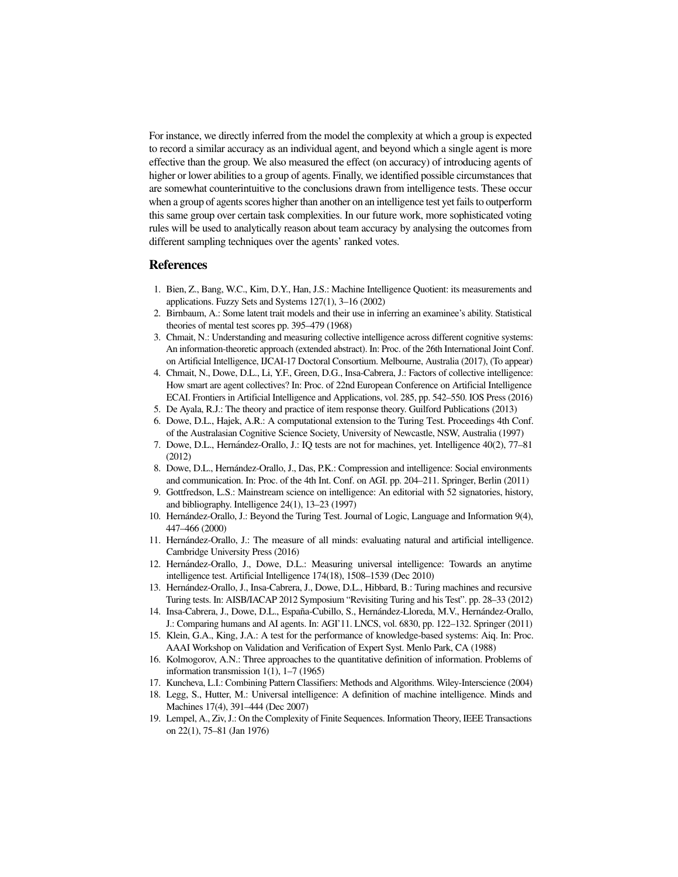For instance, we directly inferred from the model the complexity at which a group is expected to record a similar accuracy as an individual agent, and beyond which a single agent is more effective than the group. We also measured the effect (on accuracy) of introducing agents of higher or lower abilities to a group of agents. Finally, we identified possible circumstances that are somewhat counterintuitive to the conclusions drawn from intelligence tests. These occur when a group of agents scores higher than another on an intelligence test yet fails to outperform this same group over certain task complexities. In our future work, more sophisticated voting rules will be used to analytically reason about team accuracy by analysing the outcomes from different sampling techniques over the agents' ranked votes.

#### **References**

- 1. Bien, Z., Bang, W.C., Kim, D.Y., Han, J.S.: Machine Intelligence Quotient: its measurements and applications. Fuzzy Sets and Systems 127(1), 3–16 (2002)
- 2. Birnbaum, A.: Some latent trait models and their use in inferring an examinee's ability. Statistical theories of mental test scores pp. 395–479 (1968)
- 3. Chmait, N.: Understanding and measuring collective intelligence across different cognitive systems: An information-theoretic approach (extended abstract). In: Proc. of the 26th International Joint Conf. on Artificial Intelligence, IJCAI-17 Doctoral Consortium. Melbourne, Australia (2017), (To appear)
- 4. Chmait, N., Dowe, D.L., Li, Y.F., Green, D.G., Insa-Cabrera, J.: Factors of collective intelligence: How smart are agent collectives? In: Proc. of 22nd European Conference on Artificial Intelligence ECAI. Frontiers in Artificial Intelligence and Applications, vol. 285, pp. 542–550. IOS Press (2016)
- 5. De Ayala, R.J.: The theory and practice of item response theory. Guilford Publications (2013)
- 6. Dowe, D.L., Hajek, A.R.: A computational extension to the Turing Test. Proceedings 4th Conf. of the Australasian Cognitive Science Society, University of Newcastle, NSW, Australia (1997)
- 7. Dowe, D.L., Hernández-Orallo, J.: IQ tests are not for machines, yet. Intelligence 40(2), 77–81 (2012)
- 8. Dowe, D.L., Hernández-Orallo, J., Das, P.K.: Compression and intelligence: Social environments and communication. In: Proc. of the 4th Int. Conf. on AGI. pp. 204–211. Springer, Berlin (2011)
- 9. Gottfredson, L.S.: Mainstream science on intelligence: An editorial with 52 signatories, history, and bibliography. Intelligence 24(1), 13–23 (1997)
- 10. Hernández-Orallo, J.: Beyond the Turing Test. Journal of Logic, Language and Information 9(4), 447–466 (2000)
- 11. Hernandez-Orallo, J.: The measure of all minds: evaluating natural and artificial intelligence. ´ Cambridge University Press (2016)
- 12. Hernández-Orallo, J., Dowe, D.L.: Measuring universal intelligence: Towards an anytime intelligence test. Artificial Intelligence 174(18), 1508–1539 (Dec 2010)
- 13. Hernandez-Orallo, J., Insa-Cabrera, J., Dowe, D.L., Hibbard, B.: Turing machines and recursive ´ Turing tests. In: AISB/IACAP 2012 Symposium "Revisiting Turing and his Test". pp. 28–33 (2012)
- 14. Insa-Cabrera, J., Dowe, D.L., España-Cubillo, S., Hernández-Lloreda, M.V., Hernández-Orallo, J.: Comparing humans and AI agents. In: AGI'11. LNCS, vol. 6830, pp. 122–132. Springer (2011)
- 15. Klein, G.A., King, J.A.: A test for the performance of knowledge-based systems: Aiq. In: Proc. AAAI Workshop on Validation and Verification of Expert Syst. Menlo Park, CA (1988)
- 16. Kolmogorov, A.N.: Three approaches to the quantitative definition of information. Problems of information transmission 1(1), 1–7 (1965)
- 17. Kuncheva, L.I.: Combining Pattern Classifiers: Methods and Algorithms. Wiley-Interscience (2004)
- 18. Legg, S., Hutter, M.: Universal intelligence: A definition of machine intelligence. Minds and Machines 17(4), 391–444 (Dec 2007)
- 19. Lempel, A., Ziv, J.: On the Complexity of Finite Sequences. Information Theory, IEEE Transactions on 22(1), 75–81 (Jan 1976)